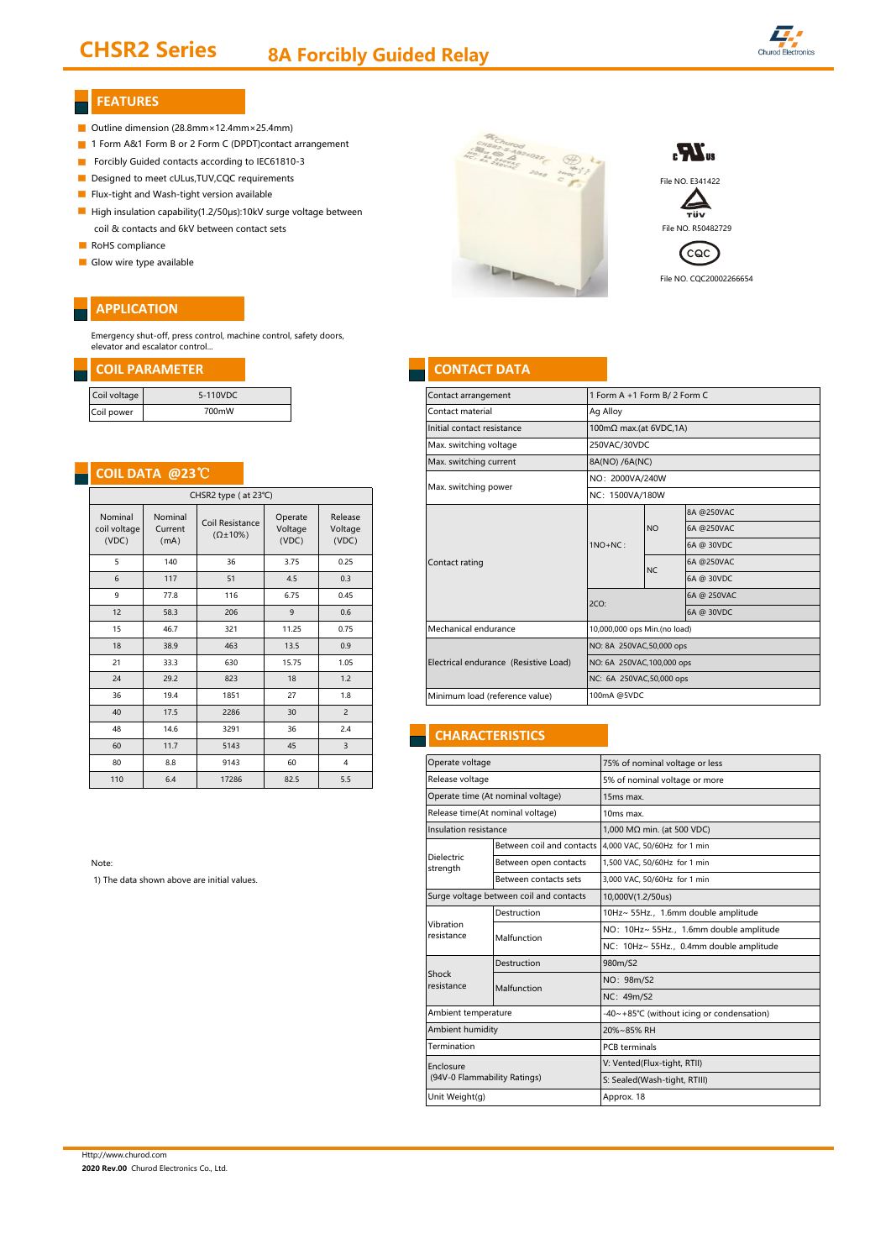# CHSR2 Series 8A Forcibly Guided Relay



### **FEATURES**

- Outline dimension (28.8mm×12.4mm×25.4mm)
- 1 Form A&1 Form B or 2 Form C (DPDT)contact arrangement
- Forcibly Guided contacts according to IEC61810-3
- 
- Flux-tight and Wash-tight version available
- High insulation capability(1.2/50μs):10kV surge voltage between coil & contacts and 6kV between contact sets File NO. R50482729
- RoHS compliance
- Glow wire type available

### **APPLICATION**

Emergency shut-off, press control, machine control, safety doors, elevator and escalator control...

| Coil voltage | 5-110VDC |
|--------------|----------|
| Coil power   | 700mW    |

### **COIL DATA @23**℃

|                        | CHSR2 type (at 23°C)        |                             |                                        |                            |                                  |  |  |  |
|------------------------|-----------------------------|-----------------------------|----------------------------------------|----------------------------|----------------------------------|--|--|--|
|                        | Release<br>Voltage<br>(VDC) | Operate<br>Voltage<br>(VDC) | Coil Resistance<br>$(\Omega \pm 10\%)$ | Nominal<br>Current<br>(mA) | Nominal<br>coil voltage<br>(VDC) |  |  |  |
| Contact rating         | 0.25                        | 3.75                        | 36                                     | 140                        | 5                                |  |  |  |
|                        | 0.3                         | 4.5                         | 51                                     | 117                        | 6                                |  |  |  |
|                        | 0.45                        | 6.75                        | 116                                    | 77.8                       | 9                                |  |  |  |
|                        | 0.6                         | 9                           | 206                                    | 58.3                       | 12                               |  |  |  |
| Mechanical er          | 0.75                        | 11.25                       | 321                                    | 46.7                       | 15                               |  |  |  |
|                        | 0.9                         | 13.5                        | 463                                    | 38.9                       | 18                               |  |  |  |
| <b>Electrical endu</b> | 1.05                        | 15.75                       | 630                                    | 33.3                       | 21                               |  |  |  |
|                        | 1.2                         | 18                          | 823                                    | 29.2                       | 24                               |  |  |  |
| Minimum load           | 1.8                         | 27                          | 1851                                   | 19.4                       | 36                               |  |  |  |
|                        | $\overline{2}$              | 30                          | 2286                                   | 17.5                       | 40                               |  |  |  |
| <b>CHARA0</b>          | 2.4                         | 36                          | 3291                                   | 14.6                       | 48                               |  |  |  |
|                        | 3                           | 45                          | 5143                                   | 11.7                       | 60                               |  |  |  |
| Operate volta          | 4                           | 60                          | 9143                                   | 8.8                        | 80                               |  |  |  |
| Release voltac         | 5.5                         | 82.5                        | 17286                                  | 6.4                        | 110                              |  |  |  |

Note:

1) The data shown above are initial values.







File NO. CQC20002266654

### **COIL PARAMETER CONTACT DATA**

| Coil voltage                 |                                        | 5-110VDC           |                      |                 | Contact arrangement                   | 1 Form A +1 Form B/2 Form C |                              |            |  |  |
|------------------------------|----------------------------------------|--------------------|----------------------|-----------------|---------------------------------------|-----------------------------|------------------------------|------------|--|--|
| Coil power                   |                                        | 700mW              |                      |                 | Contact material                      | Ag Alloy                    |                              |            |  |  |
|                              |                                        |                    |                      |                 | Initial contact resistance            | 100mΩ max.(at 6VDC,1A)      |                              |            |  |  |
|                              |                                        |                    |                      |                 | Max. switching voltage                | 250VAC/30VDC                |                              |            |  |  |
|                              |                                        |                    |                      |                 | Max. switching current                | 8A(NO) /6A(NC)              |                              |            |  |  |
| COIL DATA @23 <sup>°</sup> C |                                        |                    |                      |                 |                                       |                             | NO: 2000VA/240W              |            |  |  |
| CHSR2 type (at 23°C)         |                                        |                    | Max. switching power | NC: 1500VA/180W |                                       |                             |                              |            |  |  |
| Nominal                      | Nominal                                | Release<br>Operate |                      |                 | 8A @250VAC                            |                             |                              |            |  |  |
| coil voltage<br>Current      | Coil Resistance<br>$(\Omega \pm 10\%)$ | Voltage            | Voltage              |                 |                                       | <b>NO</b>                   | 6A @250VAC                   |            |  |  |
|                              | (VDC)<br>(mA)                          |                    | (VDC)                | (VDC)           |                                       | $1NO+NC:$                   |                              | 6A @ 30VDC |  |  |
| 5                            | 140                                    | 36                 | 3.75                 | 0.25            | Contact rating                        |                             |                              | 6A @250VAC |  |  |
| 6                            | 117                                    | 51                 | 4.5                  | 0.3             |                                       |                             | <b>NC</b>                    | 6A @ 30VDC |  |  |
| 9                            | 77.8                                   | 116                | 6.75                 | 0.45            |                                       | 2CO:                        | 6A @ 250VAC                  |            |  |  |
| 12                           | 58.3                                   | 206                | 9                    | 0.6             |                                       |                             |                              | 6A @ 30VDC |  |  |
| 15                           | 46.7                                   | 321                | 11.25                | 0.75            | Mechanical endurance                  |                             | 10,000,000 ops Min.(no load) |            |  |  |
| 18                           | 38.9                                   | 463                | 13.5                 | 0.9             |                                       |                             | NO: 8A 250VAC,50,000 ops     |            |  |  |
| 21                           | 33.3                                   | 630                | 15.75                | 1.05            | Electrical endurance (Resistive Load) |                             | NO: 6A 250VAC, 100,000 ops   |            |  |  |
| 24                           | 29.2                                   | 823                | 18                   | 1.2             |                                       | NC: 6A 250VAC,50,000 ops    |                              |            |  |  |
| 36                           | 19.4                                   | 1851               | 27                   | 1.8             | Minimum load (reference value)        |                             | 100mA @5VDC                  |            |  |  |
|                              |                                        |                    |                      |                 |                                       |                             |                              |            |  |  |

### **CHARACTERISTICS**

| Operate voltage                           |                                         | 75% of nominal voltage or less            |  |  |  |  |
|-------------------------------------------|-----------------------------------------|-------------------------------------------|--|--|--|--|
| Release voltage                           |                                         | 5% of nominal voltage or more             |  |  |  |  |
| Operate time (At nominal voltage)         |                                         | 15ms max.                                 |  |  |  |  |
| Release time(At nominal voltage)          |                                         | 10ms max.                                 |  |  |  |  |
| Insulation resistance                     |                                         | 1,000 MΩ min. (at 500 VDC)                |  |  |  |  |
|                                           | Between coil and contacts               | 4,000 VAC, 50/60Hz for 1 min              |  |  |  |  |
| <b>Dielectric</b><br>strength             | Between open contacts                   | 1,500 VAC, 50/60Hz for 1 min              |  |  |  |  |
|                                           | Between contacts sets                   | 3,000 VAC, 50/60Hz for 1 min              |  |  |  |  |
|                                           | Surge voltage between coil and contacts | 10,000V(1.2/50us)                         |  |  |  |  |
|                                           | Destruction                             | 10Hz~ 55Hz., 1.6mm double amplitude       |  |  |  |  |
| Vibration<br>resistance                   | Malfunction                             | NO: 10Hz~ 55Hz., 1.6mm double amplitude   |  |  |  |  |
|                                           |                                         | NC: 10Hz~ 55Hz., 0.4mm double amplitude   |  |  |  |  |
|                                           | Destruction                             | 980m/S2                                   |  |  |  |  |
| Shock<br>resistance                       | Malfunction                             | NO: 98m/S2                                |  |  |  |  |
|                                           |                                         | NC: 49m/S2                                |  |  |  |  |
| Ambient temperature                       |                                         | -40~+85°C (without icing or condensation) |  |  |  |  |
| Ambient humidity                          |                                         | 20%~85% RH                                |  |  |  |  |
| Termination                               |                                         | <b>PCB</b> terminals                      |  |  |  |  |
| Enclosure<br>(94V-0 Flammability Ratings) |                                         | V: Vented(Flux-tight, RTII)               |  |  |  |  |
|                                           |                                         | S: Sealed(Wash-tight, RTIII)              |  |  |  |  |
| Unit Weight(g)                            |                                         | Approx. 18                                |  |  |  |  |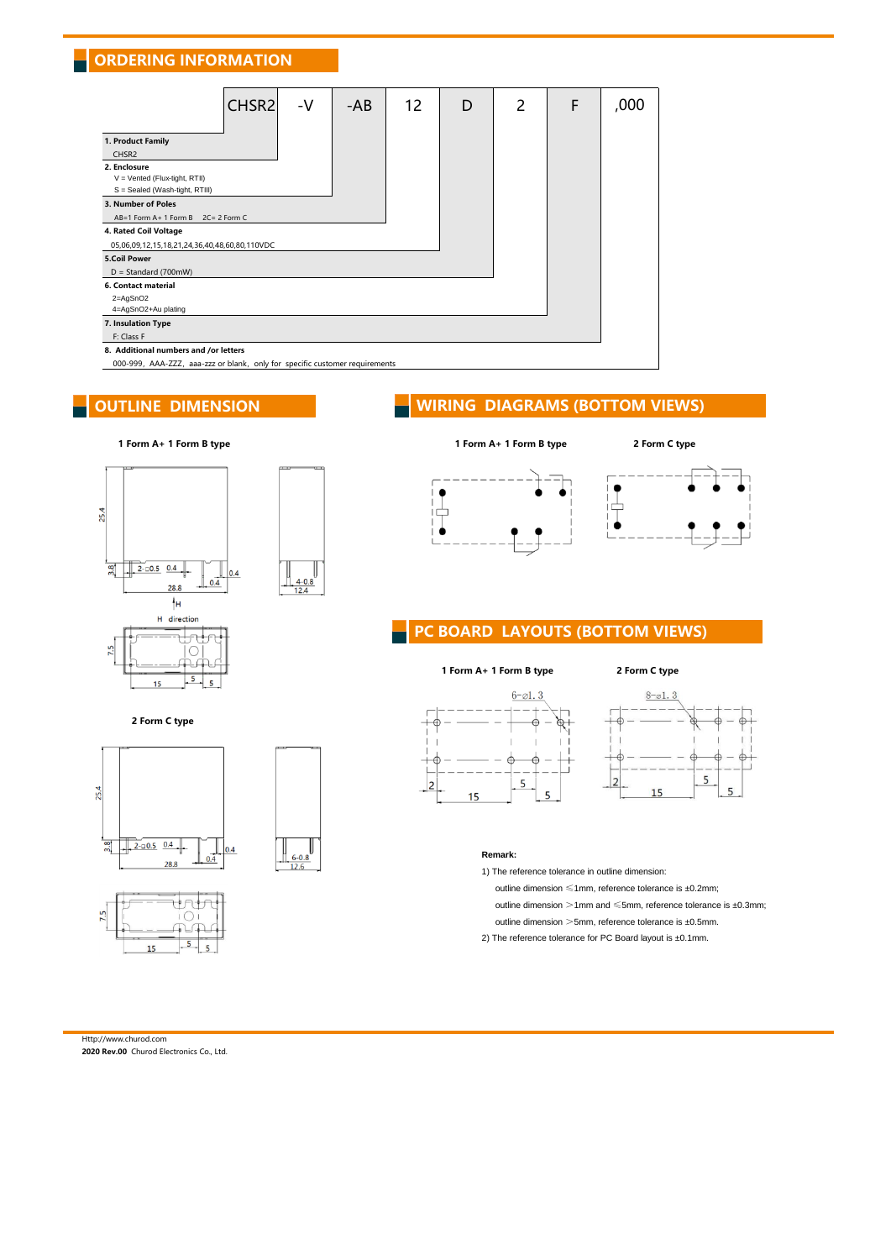# **ORDERING INFORMATION**

| CHSR <sub>2</sub>                                                                       | -V | -AB | 12 | D | 2 | F | ,000 |
|-----------------------------------------------------------------------------------------|----|-----|----|---|---|---|------|
| 1. Product Family<br>CHSR <sub>2</sub><br>2. Enclosure<br>V = Vented (Flux-tight, RTII) |    |     |    |   |   |   |      |
| S = Sealed (Wash-tight, RTIII)<br>3. Number of Poles                                    |    |     |    |   |   |   |      |
| AB=1 Form A+ 1 Form B 2C=2 Form C                                                       |    |     |    |   |   |   |      |
| 4. Rated Coil Voltage                                                                   |    |     |    |   |   |   |      |
| 05,06,09,12,15,18,21,24,36,40,48,60,80,110VDC                                           |    |     |    |   |   |   |      |
| <b>5.Coil Power</b>                                                                     |    |     |    |   |   |   |      |
| $D = Standard (700mW)$                                                                  |    |     |    |   |   |   |      |
| 6. Contact material                                                                     |    |     |    |   |   |   |      |
| $2 = AgSnO2$<br>4=AgSnO2+Au plating                                                     |    |     |    |   |   |   |      |
| 7. Insulation Type                                                                      |    |     |    |   |   |   |      |
| F: Class F                                                                              |    |     |    |   |   |   |      |
| 8. Additional numbers and /or letters                                                   |    |     |    |   |   |   |      |
| 000-999, AAA-ZZZ, aaa-zzz or blank, only for specific customer requirements             |    |     |    |   |   |   |      |

 $\mathbb I$ 

 $\frac{4-0.8}{12.4}$ 

### OUTLINE DIMENSION WIRING DIAGRAMS (BOTTOM VIEWS)





2 Form C type





 $\bullet$ 



### PC BOARD LAYOUTS (BOTTOM VIEWS)

### 1 Form A+ 1 Form B type 2 Form C type







### **Remark:**

1) The reference tolerance in outline dimension:

outline dimension ≤1mm, reference tolerance is ±0.2mm;

outline dimension  $>1$ mm and  $\leqslant$ 5mm, reference tolerance is ±0.3mm;

- outline dimension >5mm, reference tolerance is ±0.5mm.
- 2) The reference tolerance for PC Board layout is ±0.1mm.

# Http://www.churod.com

2020 Rev.00 Churod Electronics Co., Ltd.